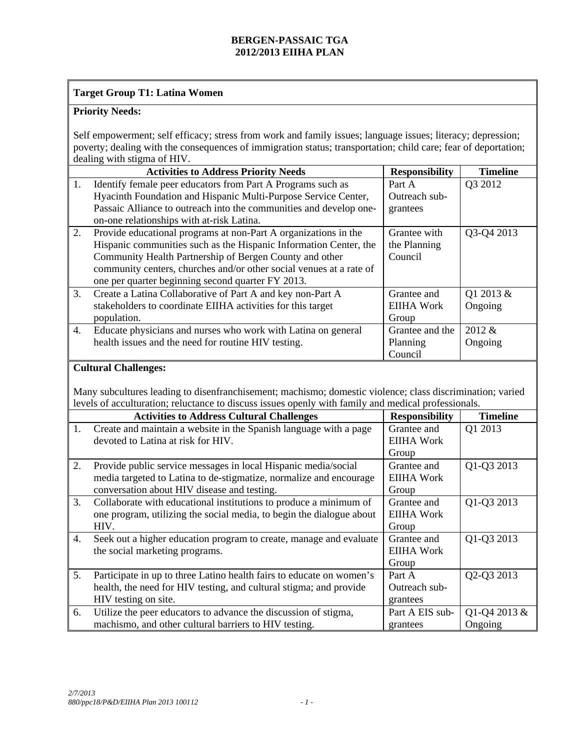### **Target Group T1: Latina Women**

## **Priority Needs:**

Self empowerment; self efficacy; stress from work and family issues; language issues; literacy; depression; poverty; dealing with the consequences of immigration status; transportation; child care; fear of deportation; dealing with stigma of HIV.

|    | <b>Activities to Address Priority Needs</b>                         | <b>Responsibility</b> | <b>Timeline</b> |
|----|---------------------------------------------------------------------|-----------------------|-----------------|
| 1. | Identify female peer educators from Part A Programs such as         | Part A                | Q3 2012         |
|    | Hyacinth Foundation and Hispanic Multi-Purpose Service Center,      | Outreach sub-         |                 |
|    | Passaic Alliance to outreach into the communities and develop one-  | grantees              |                 |
|    | on-one relationships with at-risk Latina.                           |                       |                 |
| 2. | Provide educational programs at non-Part A organizations in the     | Grantee with          | Q3-Q4 2013      |
|    | Hispanic communities such as the Hispanic Information Center, the   | the Planning          |                 |
|    | Community Health Partnership of Bergen County and other             | Council               |                 |
|    | community centers, churches and/or other social venues at a rate of |                       |                 |
|    | one per quarter beginning second quarter FY 2013.                   |                       |                 |
| 3. | Create a Latina Collaborative of Part A and key non-Part A          | Grantee and           | Q1 2013 &       |
|    | stakeholders to coordinate EIIHA activities for this target         | EIIHA Work            | Ongoing         |
|    | population.                                                         | Group                 |                 |
| 4. | Educate physicians and nurses who work with Latina on general       | Grantee and the       | 2012 &          |
|    | health issues and the need for routine HIV testing.                 | Planning              | Ongoing         |
|    |                                                                     | Council               |                 |

### **Cultural Challenges:**

Many subcultures leading to disenfranchisement; machismo; domestic violence; class discrimination; varied levels of acculturation; reluctance to discuss issues openly with family and medical professionals.

|    | <b>Activities to Address Cultural Challenges</b>                     | <b>Responsibility</b> | <b>Timeline</b> |  |
|----|----------------------------------------------------------------------|-----------------------|-----------------|--|
| 1. | Create and maintain a website in the Spanish language with a page    | Grantee and           | Q1 2013         |  |
|    | devoted to Latina at risk for HIV.                                   | <b>EIIHA Work</b>     |                 |  |
|    |                                                                      | Group                 |                 |  |
| 2. | Provide public service messages in local Hispanic media/social       | Grantee and           | Q1-Q3 2013      |  |
|    | media targeted to Latina to de-stigmatize, normalize and encourage   | <b>EIIHA Work</b>     |                 |  |
|    | conversation about HIV disease and testing.                          | Group                 |                 |  |
| 3. | Collaborate with educational institutions to produce a minimum of    | Grantee and           | Q1-Q3 2013      |  |
|    | one program, utilizing the social media, to begin the dialogue about | <b>EIIHA Work</b>     |                 |  |
|    | HIV.                                                                 | Group                 |                 |  |
| 4. | Seek out a higher education program to create, manage and evaluate   | Grantee and           | Q1-Q3 2013      |  |
|    | the social marketing programs.                                       | <b>EIIHA Work</b>     |                 |  |
|    |                                                                      | Group                 |                 |  |
| 5. | Participate in up to three Latino health fairs to educate on women's | Part A                | Q2-Q3 2013      |  |
|    | health, the need for HIV testing, and cultural stigma; and provide   | Outreach sub-         |                 |  |
|    | HIV testing on site.                                                 | grantees              |                 |  |
| 6. | Utilize the peer educators to advance the discussion of stigma,      | Part A EIS sub-       | Q1-Q4 2013 &    |  |
|    | machismo, and other cultural barriers to HIV testing.                | grantees              | Ongoing         |  |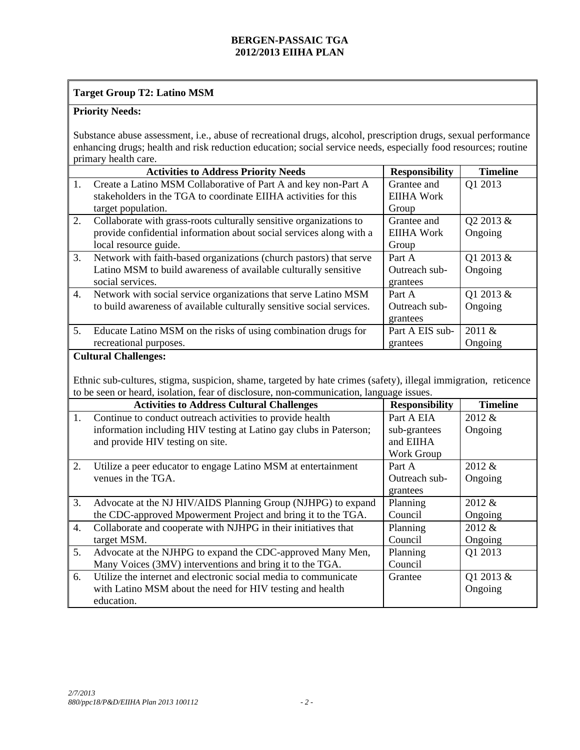# **Target Group T2: Latino MSM**

# **Priority Needs:**

Substance abuse assessment, i.e., abuse of recreational drugs, alcohol, prescription drugs, sexual performance enhancing drugs; health and risk reduction education; social service needs, especially food resources; routine primary health care.

|                  | <b>Activities to Address Priority Needs</b>                                                                                                                                                                | <b>Responsibility</b> | <b>Timeline</b> |
|------------------|------------------------------------------------------------------------------------------------------------------------------------------------------------------------------------------------------------|-----------------------|-----------------|
| 1.               | Create a Latino MSM Collaborative of Part A and key non-Part A                                                                                                                                             | Grantee and           | Q1 2013         |
|                  | stakeholders in the TGA to coordinate EIIHA activities for this                                                                                                                                            | <b>EIIHA Work</b>     |                 |
|                  | target population.                                                                                                                                                                                         | Group                 |                 |
| 2.               | Collaborate with grass-roots culturally sensitive organizations to                                                                                                                                         | Grantee and           | Q2 2013 &       |
|                  | provide confidential information about social services along with a                                                                                                                                        | <b>EIIHA Work</b>     | Ongoing         |
|                  | local resource guide.                                                                                                                                                                                      | Group                 |                 |
| 3.               | Network with faith-based organizations (church pastors) that serve                                                                                                                                         | Part A                | Q1 2013 &       |
|                  | Latino MSM to build awareness of available culturally sensitive                                                                                                                                            | Outreach sub-         | Ongoing         |
|                  | social services.                                                                                                                                                                                           | grantees              |                 |
| $\overline{4}$ . | Network with social service organizations that serve Latino MSM                                                                                                                                            | Part A                | Q1 2013 &       |
|                  | to build awareness of available culturally sensitive social services.                                                                                                                                      | Outreach sub-         | Ongoing         |
|                  |                                                                                                                                                                                                            | grantees              |                 |
| 5.               | Educate Latino MSM on the risks of using combination drugs for                                                                                                                                             | Part A EIS sub-       | 2011 &          |
|                  | recreational purposes.                                                                                                                                                                                     | grantees              | Ongoing         |
|                  | Ethnic sub-cultures, stigma, suspicion, shame, targeted by hate crimes (safety), illegal immigration, reticence<br>to be seen or heard, isolation, fear of disclosure, non-communication, language issues. |                       |                 |
|                  |                                                                                                                                                                                                            |                       |                 |
| 1.               | <b>Activities to Address Cultural Challenges</b>                                                                                                                                                           | <b>Responsibility</b> | <b>Timeline</b> |
|                  | Continue to conduct outreach activities to provide health                                                                                                                                                  | Part A EIA            | 2012 &          |
|                  | information including HIV testing at Latino gay clubs in Paterson;                                                                                                                                         | sub-grantees          | Ongoing         |
|                  | and provide HIV testing on site.                                                                                                                                                                           | and EIIHA             |                 |
|                  |                                                                                                                                                                                                            | Work Group            |                 |
| 2.               | Utilize a peer educator to engage Latino MSM at entertainment                                                                                                                                              | Part A                | 2012 &          |
|                  | venues in the TGA.                                                                                                                                                                                         | Outreach sub-         | Ongoing         |
|                  |                                                                                                                                                                                                            | grantees              |                 |
| 3.               | Advocate at the NJ HIV/AIDS Planning Group (NJHPG) to expand                                                                                                                                               | Planning              | 2012 &          |
|                  | the CDC-approved Mpowerment Project and bring it to the TGA.                                                                                                                                               | Council               | Ongoing         |
| 4.               | Collaborate and cooperate with NJHPG in their initiatives that                                                                                                                                             | Planning              | 2012 &          |
|                  | target MSM.                                                                                                                                                                                                | Council               | Ongoing         |
| 5.               | Advocate at the NJHPG to expand the CDC-approved Many Men,                                                                                                                                                 | Planning              | Q1 2013         |
|                  | Many Voices (3MV) interventions and bring it to the TGA.                                                                                                                                                   | Council               |                 |
| 6.               | Utilize the internet and electronic social media to communicate                                                                                                                                            | Grantee               | Q1 2013 &       |
|                  | with Latino MSM about the need for HIV testing and health<br>education.                                                                                                                                    |                       | Ongoing         |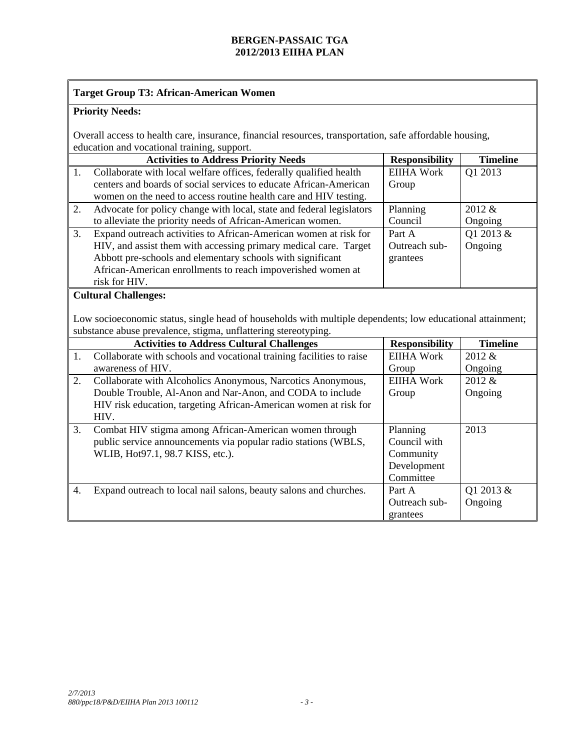### **Target Group T3: African-American Women**

# **Priority Needs:**

Overall access to health care, insurance, financial resources, transportation, safe affordable housing, education and vocational training, support.

|    | <b>Activities to Address Priority Needs</b>                          | <b>Responsibility</b> | <b>Timeline</b> |
|----|----------------------------------------------------------------------|-----------------------|-----------------|
| 1. | Collaborate with local welfare offices, federally qualified health   | <b>EIIHA Work</b>     | Q1 2013         |
|    | centers and boards of social services to educate African-American    | Group                 |                 |
|    | women on the need to access routine health care and HIV testing.     |                       |                 |
| 2. | Advocate for policy change with local, state and federal legislators | Planning              | 2012 &          |
|    | to alleviate the priority needs of African-American women.           | Council               | Ongoing         |
| 3. | Expand outreach activities to African-American women at risk for     | Part A                | Q1 2013 &       |
|    | HIV, and assist them with accessing primary medical care. Target     | Outreach sub-         | Ongoing         |
|    | Abbott pre-schools and elementary schools with significant           | grantees              |                 |
|    | African-American enrollments to reach impoverished women at          |                       |                 |
|    | risk for HIV.                                                        |                       |                 |
|    | Cultural Challenges.                                                 |                       |                 |

#### al Challenges:

Low socioeconomic status, single head of households with multiple dependents; low educational attainment; substance abuse prevalence, stigma, unflattering stereotyping.

|    | <b>Activities to Address Cultural Challenges</b>                     | <b>Responsibility</b> | <b>Timeline</b> |
|----|----------------------------------------------------------------------|-----------------------|-----------------|
| 1. | Collaborate with schools and vocational training facilities to raise | <b>EIIHA Work</b>     | $2012 \&$       |
|    | awareness of HIV.                                                    | Group                 | Ongoing         |
| 2. | Collaborate with Alcoholics Anonymous, Narcotics Anonymous,          | <b>EIIHA Work</b>     | 2012 &          |
|    | Double Trouble, Al-Anon and Nar-Anon, and CODA to include            | Group                 | Ongoing         |
|    | HIV risk education, targeting African-American women at risk for     |                       |                 |
|    | HIV.                                                                 |                       |                 |
| 3. | Combat HIV stigma among African-American women through               | Planning              | 2013            |
|    | public service announcements via popular radio stations (WBLS,       | Council with          |                 |
|    | WLIB, Hot97.1, 98.7 KISS, etc.).                                     | Community             |                 |
|    |                                                                      | Development           |                 |
|    |                                                                      | Committee             |                 |
| 4. | Expand outreach to local nail salons, beauty salons and churches.    | Part A                | Q1 2013 &       |
|    |                                                                      | Outreach sub-         | Ongoing         |
|    |                                                                      | grantees              |                 |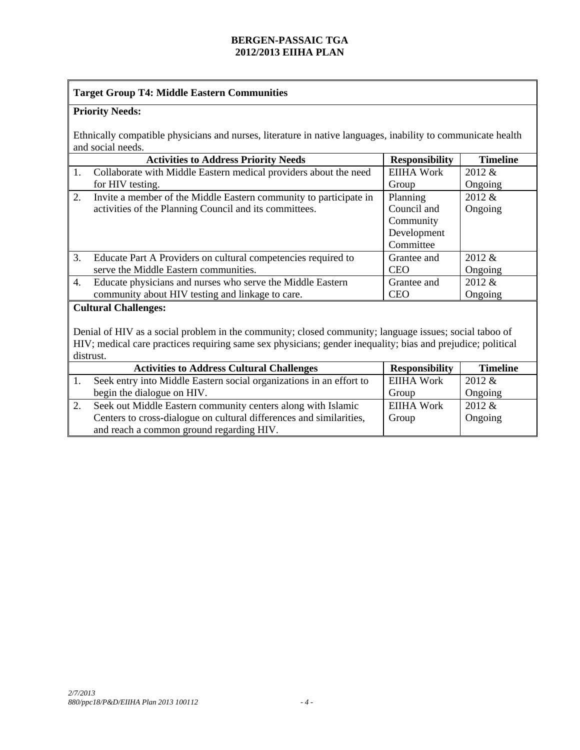# **Target Group T4: Middle Eastern Communities**

# **Priority Needs:**

Ethnically compatible physicians and nurses, literature in native languages, inability to communicate health and social needs.

|           | <b>Activities to Address Priority Needs</b>                                                                                                                                                                                                                                                                                                                                                               | <b>Responsibility</b>       | <b>Timeline</b>  |  |  |
|-----------|-----------------------------------------------------------------------------------------------------------------------------------------------------------------------------------------------------------------------------------------------------------------------------------------------------------------------------------------------------------------------------------------------------------|-----------------------------|------------------|--|--|
| 1.        | Collaborate with Middle Eastern medical providers about the need                                                                                                                                                                                                                                                                                                                                          | <b>EIIHA Work</b>           | 2012 &           |  |  |
|           | for HIV testing.                                                                                                                                                                                                                                                                                                                                                                                          | Group                       | Ongoing          |  |  |
| 2.        | Invite a member of the Middle Eastern community to participate in                                                                                                                                                                                                                                                                                                                                         | Planning                    | 2012 &           |  |  |
|           | activities of the Planning Council and its committees.                                                                                                                                                                                                                                                                                                                                                    | Council and                 | Ongoing          |  |  |
|           |                                                                                                                                                                                                                                                                                                                                                                                                           | Community                   |                  |  |  |
|           |                                                                                                                                                                                                                                                                                                                                                                                                           | Development                 |                  |  |  |
|           |                                                                                                                                                                                                                                                                                                                                                                                                           | Committee                   |                  |  |  |
| 3.        | Educate Part A Providers on cultural competencies required to                                                                                                                                                                                                                                                                                                                                             | Grantee and                 | 2012 &           |  |  |
|           | serve the Middle Eastern communities.                                                                                                                                                                                                                                                                                                                                                                     | <b>CEO</b>                  | Ongoing          |  |  |
| 4.        | Educate physicians and nurses who serve the Middle Eastern                                                                                                                                                                                                                                                                                                                                                | Grantee and                 | 2012 &           |  |  |
|           | community about HIV testing and linkage to care.                                                                                                                                                                                                                                                                                                                                                          | <b>CEO</b>                  | Ongoing          |  |  |
|           | <b>Cultural Challenges:</b><br>Denial of HIV as a social problem in the community; closed community; language issues; social taboo of                                                                                                                                                                                                                                                                     |                             |                  |  |  |
|           | HIV; medical care practices requiring same sex physicians; gender inequality; bias and prejudice; political                                                                                                                                                                                                                                                                                               |                             |                  |  |  |
| distrust. |                                                                                                                                                                                                                                                                                                                                                                                                           |                             |                  |  |  |
|           | <b>Responsibility</b><br><b>Timeline</b><br><b>Activities to Address Cultural Challenges</b>                                                                                                                                                                                                                                                                                                              |                             |                  |  |  |
| 1.        | Seek entry into Middle Eastern social organizations in an effort to<br>$\mathbf{1}$ $\mathbf{1}$ $\mathbf{1}$ $\mathbf{1}$ $\mathbf{1}$ $\mathbf{1}$ $\mathbf{1}$ $\mathbf{1}$ $\mathbf{1}$ $\mathbf{1}$ $\mathbf{1}$ $\mathbf{1}$ $\mathbf{1}$ $\mathbf{1}$ $\mathbf{1}$ $\mathbf{1}$ $\mathbf{1}$ $\mathbf{1}$ $\mathbf{1}$ $\mathbf{1}$ $\mathbf{1}$ $\mathbf{1}$ $\mathbf{1}$ $\mathbf{1}$ $\mathbf{$ | <b>EIIHA Work</b><br>$\sim$ | 2012 &<br>$\sim$ |  |  |

| begin the dialogue on HIV.                                          | Group      | Ongoing   |
|---------------------------------------------------------------------|------------|-----------|
| Seek out Middle Eastern community centers along with Islamic        | EIIHA Work | $2012 \&$ |
| Centers to cross-dialogue on cultural differences and similarities, | Group      | Ongoing   |
| and reach a common ground regarding HIV.                            |            |           |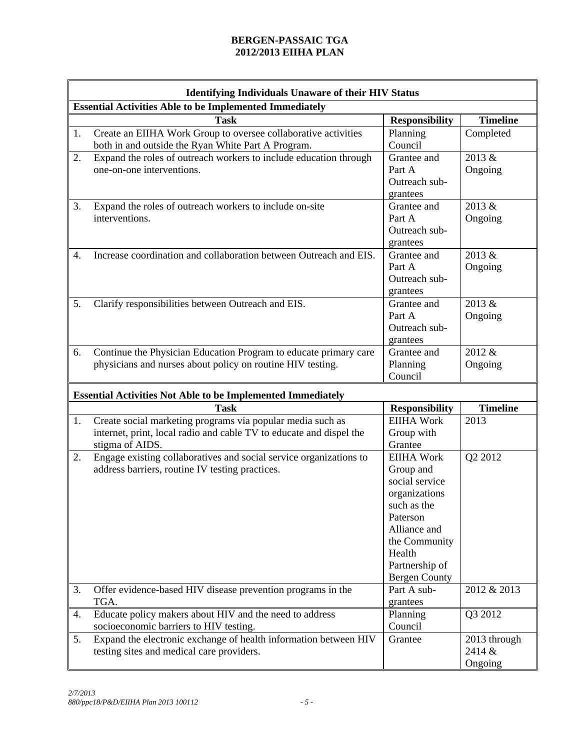|    | <b>Identifying Individuals Unaware of their HIV Status</b>                                                                                           |                                                                                                                                                                                   |                                   |  |
|----|------------------------------------------------------------------------------------------------------------------------------------------------------|-----------------------------------------------------------------------------------------------------------------------------------------------------------------------------------|-----------------------------------|--|
|    | <b>Essential Activities Able to be Implemented Immediately</b>                                                                                       |                                                                                                                                                                                   |                                   |  |
|    | <b>Task</b>                                                                                                                                          | <b>Responsibility</b>                                                                                                                                                             | <b>Timeline</b>                   |  |
| 1. | Create an EIIHA Work Group to oversee collaborative activities<br>both in and outside the Ryan White Part A Program.                                 | Planning<br>Council                                                                                                                                                               | Completed                         |  |
| 2. | Expand the roles of outreach workers to include education through<br>one-on-one interventions.                                                       | Grantee and<br>Part A<br>Outreach sub-<br>grantees                                                                                                                                | 2013 &<br>Ongoing                 |  |
| 3. | Expand the roles of outreach workers to include on-site<br>interventions.                                                                            | Grantee and<br>Part A<br>Outreach sub-<br>grantees                                                                                                                                | 2013 &<br>Ongoing                 |  |
| 4. | Increase coordination and collaboration between Outreach and EIS.                                                                                    | Grantee and<br>Part A<br>Outreach sub-<br>grantees                                                                                                                                | 2013 &<br>Ongoing                 |  |
| 5. | Clarify responsibilities between Outreach and EIS.                                                                                                   | Grantee and<br>Part A<br>Outreach sub-<br>grantees                                                                                                                                | 2013 &<br>Ongoing                 |  |
| 6. | Continue the Physician Education Program to educate primary care<br>physicians and nurses about policy on routine HIV testing.                       | Grantee and<br>Planning<br>Council                                                                                                                                                | 2012 &<br>Ongoing                 |  |
|    | <b>Essential Activities Not Able to be Implemented Immediately</b>                                                                                   |                                                                                                                                                                                   |                                   |  |
|    | <b>Task</b>                                                                                                                                          | <b>Responsibility</b>                                                                                                                                                             | <b>Timeline</b>                   |  |
| 1. | Create social marketing programs via popular media such as<br>internet, print, local radio and cable TV to educate and dispel the<br>stigma of AIDS. | <b>EIIHA Work</b><br>Group with<br>Grantee                                                                                                                                        | 2013                              |  |
| 2. | Engage existing collaboratives and social service organizations to<br>address barriers, routine IV testing practices.                                | <b>EIIHA Work</b><br>Group and<br>social service<br>organizations<br>such as the<br>Paterson<br>Alliance and<br>the Community<br>Health<br>Partnership of<br><b>Bergen County</b> | Q2 2012                           |  |
| 3. | Offer evidence-based HIV disease prevention programs in the<br>TGA.                                                                                  | Part A sub-<br>grantees                                                                                                                                                           | 2012 & 2013                       |  |
| 4. | Educate policy makers about HIV and the need to address<br>socioeconomic barriers to HIV testing.                                                    | Planning<br>Council                                                                                                                                                               | Q3 2012                           |  |
| 5. | Expand the electronic exchange of health information between HIV<br>testing sites and medical care providers.                                        | Grantee                                                                                                                                                                           | 2013 through<br>2414 &<br>Ongoing |  |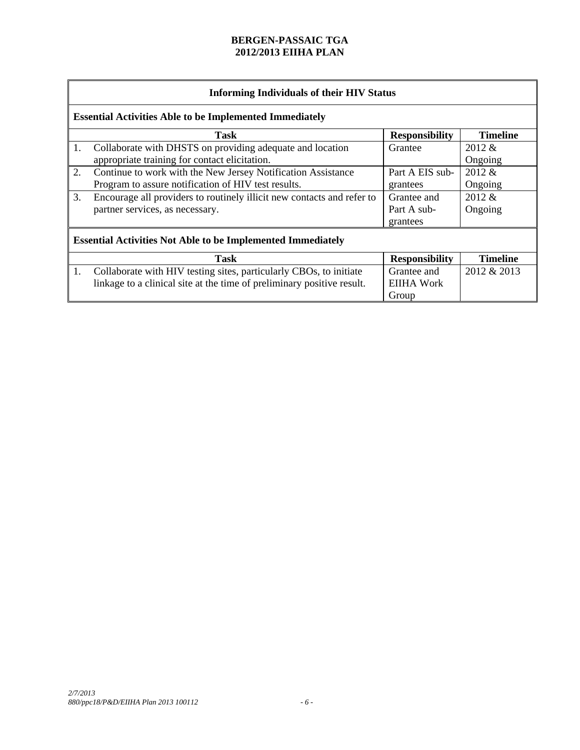|    | <b>Informing Individuals of their HIV Status</b>                       |                 |             |  |  |
|----|------------------------------------------------------------------------|-----------------|-------------|--|--|
|    | <b>Essential Activities Able to be Implemented Immediately</b>         |                 |             |  |  |
|    | <b>Timeline</b><br><b>Task</b><br><b>Responsibility</b>                |                 |             |  |  |
| 1. | Collaborate with DHSTS on providing adequate and location              | Grantee         | $2012 \&$   |  |  |
|    | appropriate training for contact elicitation.                          |                 | Ongoing     |  |  |
| 2. | Continue to work with the New Jersey Notification Assistance           | Part A EIS sub- | 2012 &      |  |  |
|    | Program to assure notification of HIV test results.                    | grantees        | Ongoing     |  |  |
| 3. | Encourage all providers to routinely illicit new contacts and refer to | Grantee and     | 2012 &      |  |  |
|    | partner services, as necessary.                                        | Part A sub-     | Ongoing     |  |  |
|    |                                                                        | grantees        |             |  |  |
|    | <b>Essential Activities Not Able to be Implemented Immediately</b>     |                 |             |  |  |
|    | <b>Timeline</b><br>Task<br><b>Responsibility</b>                       |                 |             |  |  |
| 1. | Collaborate with HIV testing sites, particularly CBOs, to initiate     | Grantee and     | 2012 & 2013 |  |  |
|    | linkage to a clinical site at the time of preliminary positive result. | EIIHA Work      |             |  |  |
|    |                                                                        | Group           |             |  |  |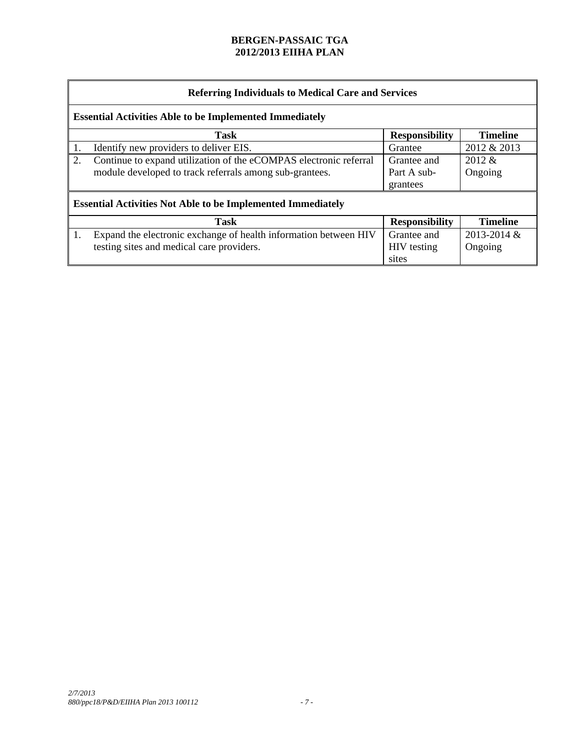|                                                                | <b>Referring Individuals to Medical Care and Services</b>          |                       |                 |  |  |
|----------------------------------------------------------------|--------------------------------------------------------------------|-----------------------|-----------------|--|--|
| <b>Essential Activities Able to be Implemented Immediately</b> |                                                                    |                       |                 |  |  |
|                                                                | <b>Task</b>                                                        | <b>Responsibility</b> | <b>Timeline</b> |  |  |
|                                                                | Identify new providers to deliver EIS.                             | Grantee               | 2012 & 2013     |  |  |
| 2.                                                             | Continue to expand utilization of the eCOMPAS electronic referral  | Grantee and           | $2012 \&$       |  |  |
|                                                                | module developed to track referrals among sub-grantees.            | Part A sub-           | Ongoing         |  |  |
|                                                                |                                                                    | grantees              |                 |  |  |
|                                                                | <b>Essential Activities Not Able to be Implemented Immediately</b> |                       |                 |  |  |
|                                                                | <b>Timeline</b><br><b>Task</b><br><b>Responsibility</b>            |                       |                 |  |  |
| 1.                                                             | Expand the electronic exchange of health information between HIV   | Grantee and           | 2013-2014 &     |  |  |
|                                                                | testing sites and medical care providers.                          | <b>HIV</b> testing    | Ongoing         |  |  |
|                                                                |                                                                    | sites                 |                 |  |  |